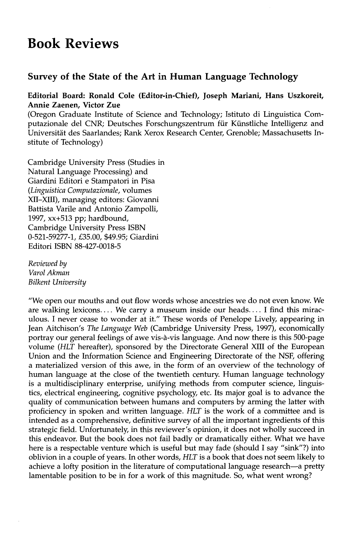## **Book Reviews**

## **Survey of the State of the Art in Human Language Technology**

## **Editorial Board: Ronald Cole (Editor-in-Chief), Joseph Mariani, Hans Uszkoreit, Annie Zaenen, Victor Zue**

(Oregon Graduate Institute of Science and Technology; Istituto di Linguistica Computazionale del CNR; Deutsches Forschungszentrum für Künstliche Intelligenz and Universitat des Saarlandes; Rank Xerox Research Center, Grenoble; Massachusetts Institute of Technology)

Cambridge University Press (Studies in Natural Language Processing) and Giardini Editori e Stampatori in Pisa *(Linguistica Computazionale,* volumes XII-XIII), managing editors: Giovanni Battista Varile and Antonio Zampolli, 1997, xx+513 pp; hardbound, Cambridge University Press ISBN 0-521-59277-1, £35.00, \$49.95; Giardini Editori ISBN 88-427-0018-5

*Reviewed by Varol Akman Bilkent University* 

"We open our mouths and out flow words whose ancestries we do not even know. We are walking lexicons.... We carry a museum inside our heads.... I find this miraculous. I never cease to wonder at it." These words of Penelope Lively, appearing in Jean Aitchison's *The Language Web* (Cambridge University Press, 1997), economically portray our general feelings of awe vis-a-vis language. And now there is this 500-page volume *(HLT* hereafter), sponsored by the Directorate General XIII of the European Union and the Information Science and Engineering Directorate of the NSF, offering a materialized version of this awe, in the form of an overview of the technology of human language at the close of the twentieth century. Human language technology is a multidisciplinary enterprise, unifying methods from computer science, linguistics, electrical engineering, cognitive psychology, etc. Its major goal is to advance the quality of communication between humans and computers by arming the latter with proficiency in spoken and written language. *HLT* is the work of a committee and is intended as a comprehensive, definitive survey of all the important ingredients of this strategic field. Unfortunately, in this reviewer's opinion, it does not wholly succeed in this endeavor. But the book does not fail badly or dramatically either. What we have here is a respectable venture which is useful but may fade (should I say "sink"?) into oblivion in a couple of years. In other words, *HLT* is a book that does not seem likely to achieve a lofty position in the literature of computational language research--a pretty lamentable position to be in for a work of this magnitude. So, what went wrong?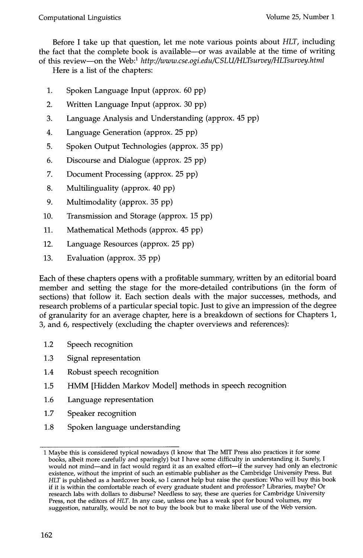Before I take up that question, let me note various points about *HLT,* including the fact that the complete book is available--or was available at the time of writing of this review---on the Web:<sup>1</sup> http://www.cse.ogi.edu/CSLU/HLTsurvey/HLTsurvey.html

Here is a list of the chapters:

- 1. Spoken Language Input (approx. 60 pp)
- 2. Written Language Input (approx. 30 pp)
- 3. Language Analysis and Understanding (approx. 45 pp)
- 4. Language Generation (approx. 25 pp)
- 5. Spoken Output Technologies (approx. 35 pp)
- 6. Discourse and Dialogue (approx. 25 pp)
- 7. Document Processing (approx. 25 pp)
- 8. Multilinguality (approx. 40 pp)
- 9. Multimodality (approx. 35 pp)
- 10. Transmission and Storage (approx. 15 pp)
- 11. Mathematical Methods (approx. 45 pp)
- 12. Language Resources (approx. 25 pp)
- 13. Evaluation (approx. 35 pp)

Each of these chapters opens with a profitable summary, written by an editorial board member and setting the stage for the more-detailed contributions (in the form of sections) that follow it. Each section deals with the major successes, methods, and research problems of a particular special topic. Just to give an impression of the degree of granularity for an average chapter, here is a breakdown of sections for Chapters 1, 3, and 6, respectively (excluding the chapter overviews and references):

- 1.2 Speech recognition
- 1.3 Signal representation
- 1.4 Robust speech recognition
- 1.5 HMM [Hidden Markov Model] methods in speech recognition
- 1.6 Language representation
- 1.7 Speaker recognition
- 1.8 Spoken language understanding

<sup>1</sup> Maybe this is considered typical nowadays (I know that The MIT Press also practices it for some books, albeit more carefully and sparingly) but I have some difficulty in understanding it. Surely, I would not mind-and in fact would regard it as an exalted effort-if the survey had only an electronic existence, without the imprint of such an estimable publisher as the Cambridge University Press. But *HLT* is published as a hardcover book, so I cannot help but raise the question: Who will buy this book if it is within the comfortable reach of every graduate student and professor? Libraries, maybe? Or research labs with dollars to disburse? Needless to say, these are queries for Cambridge University Press, not the editors of *HLT. In* any case, unless one has a weak spot for bound volumes, my suggestion, naturally, would be not to buy the book but to make liberal use of the Web version.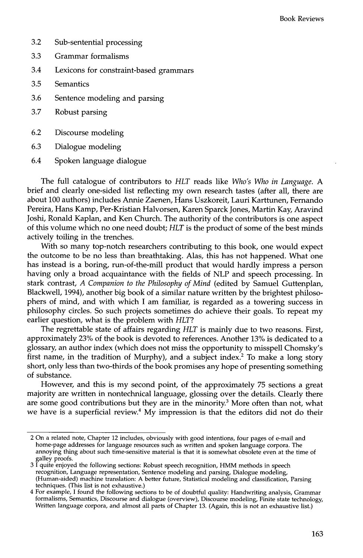- 3.2 Sub-sentential processing
- 3.3 Grammar formalisms
- 3.4 Lexicons for constraint-based grammars
- 3.5 Semantics
- 3.6 Sentence modeling and parsing
- 3.7 Robust parsing
- 6.2 Discourse modeling
- 6.3 Dialogue modeling
- 6.4 Spoken language dialogue

The full catalogue of contributors to *HLT* reads like *Who's Who in Language. A*  brief and clearly one-sided list reflecting my own research tastes (after all, there are about 100 authors) includes Annie Zaenen, Hans Uszkoreit, Lauri Karttunen, Fernando Pereira, Hans Kamp, Per-Kristian Halvorsen, Karen Sparck Jones, Martin Kay, Aravind Joshi, Ronald Kaplan, and Ken Church. The authority of the contributors is one aspect of this volume which no one need doubt; *HLT* is the product of some of the best minds actively toiling in the trenches.

With so many top-notch researchers contributing to this book, one would expect the outcome to be no less than breathtaking. Alas, this has not happened. What one has instead is a boring, run-of-the-mill product that would hardly impress a person having only a broad acquaintance with the fields of NLP and speech processing. In stark contrast, *A Companion to the Philosophy of Mind* (edited by Samuel Guttenplan, Blackwell, 1994), another big book of a similar nature written by the brightest philosophers of mind, and with which I am familiar, is regarded as a towering success in philosophy circles. So such projects sometimes do achieve their goals. To repeat my earlier question, what is the problem with *HLT?* 

The regrettable state of affairs regarding *HLT* is mainly due to two reasons. First, approximately 23% of the book is devoted to references. Another 13% is dedicated to a glossary, an author index (which does not miss the opportunity to misspell Chomsky's first name, in the tradition of Murphy), and a subject index. 2 To make a long story short, only less than two-thirds of the book promises any hope of presenting something of substance.

However, and this is my second point, of the approximately 75 sections a great majority are written in nontechnical language, glossing over the details. Clearly there are some good contributions but they are in the minority.<sup>3</sup> More often than not, what we have is a superficial review.<sup>4</sup> My impression is that the editors did not do their

<sup>2</sup> On a related note, Chapter 12 includes, obviously with good intentions, four pages of e-mail and home-page addresses for language resources such as written and spoken language corpora. The annoying thing about such time-sensitive material is that it is somewhat obsolete even at the time of galley proofs.

<sup>3</sup> I quite enjoyed the following sections: Robust speech recognition, HMM methods in speech recognition, Language representation, Sentence modeling and parsing, Dialogue modeling, (Human-aided) machine translation: A better future, Statistical modeling and classification, Parsing techniques. (This list is not exhaustive.)

<sup>4</sup> For example, I found the following sections to be of doubtful quality: Handwriting analysis, Grammar formalisms, Semantics, Discourse and dialogue (overview), Discourse modeling, Finite state technology, Written language corpora, and almost all parts of Chapter 13. (Again, this is not an exhaustive list.)